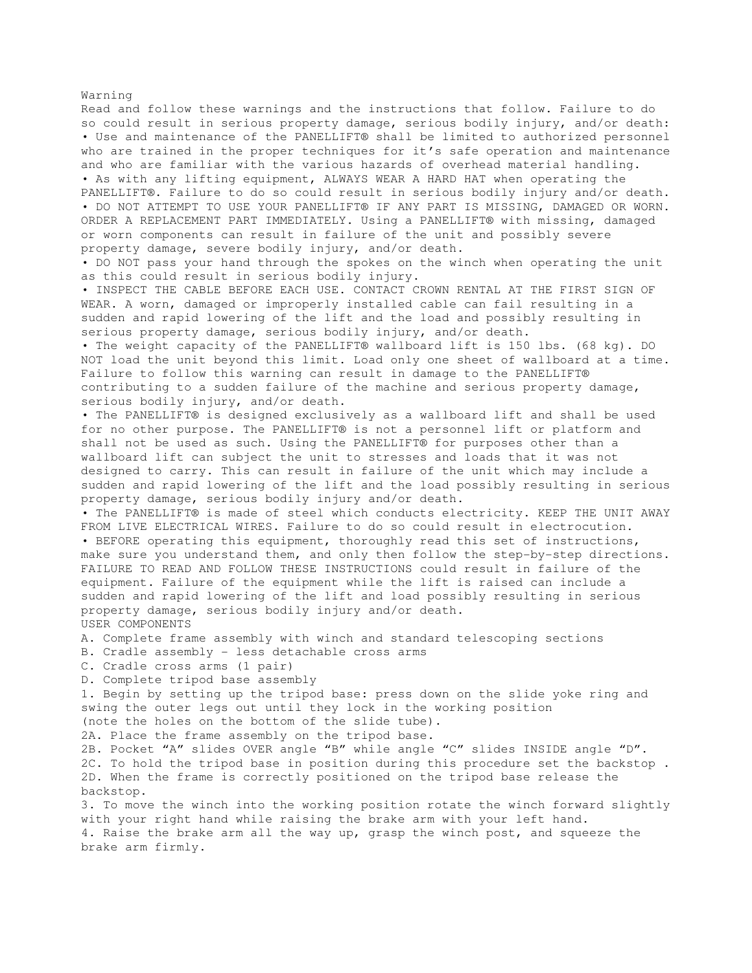Warning Read and follow these warnings and the instructions that follow. Failure to do so could result in serious property damage, serious bodily injury, and/or death: • Use and maintenance of the PANELLIFT® shall be limited to authorized personnel who are trained in the proper techniques for it's safe operation and maintenance and who are familiar with the various hazards of overhead material handling. • As with any lifting equipment, ALWAYS WEAR A HARD HAT when operating the PANELLIFT®. Failure to do so could result in serious bodily injury and/or death. • DO NOT ATTEMPT TO USE YOUR PANELLIFT® IF ANY PART IS MISSING, DAMAGED OR WORN. ORDER A REPLACEMENT PART IMMEDIATELY. Using a PANELLIFT® with missing, damaged or worn components can result in failure of the unit and possibly severe property damage, severe bodily injury, and/or death. • DO NOT pass your hand through the spokes on the winch when operating the unit as this could result in serious bodily injury. • INSPECT THE CABLE BEFORE EACH USE. CONTACT CROWN RENTAL AT THE FIRST SIGN OF WEAR. A worn, damaged or improperly installed cable can fail resulting in a sudden and rapid lowering of the lift and the load and possibly resulting in serious property damage, serious bodily injury, and/or death. • The weight capacity of the PANELLIFT® wallboard lift is 150 lbs. (68 kg). DO NOT load the unit beyond this limit. Load only one sheet of wallboard at a time. Failure to follow this warning can result in damage to the PANELLIFT® contributing to a sudden failure of the machine and serious property damage, serious bodily injury, and/or death. • The PANELLIFT® is designed exclusively as a wallboard lift and shall be used for no other purpose. The PANELLIFT® is not a personnel lift or platform and shall not be used as such. Using the PANELLIFT® for purposes other than a wallboard lift can subject the unit to stresses and loads that it was not designed to carry. This can result in failure of the unit which may include a sudden and rapid lowering of the lift and the load possibly resulting in serious property damage, serious bodily injury and/or death. • The PANELLIFT® is made of steel which conducts electricity. KEEP THE UNIT AWAY FROM LIVE ELECTRICAL WIRES. Failure to do so could result in electrocution. • BEFORE operating this equipment, thoroughly read this set of instructions, make sure you understand them, and only then follow the step-by-step directions. FAILURE TO READ AND FOLLOW THESE INSTRUCTIONS could result in failure of the equipment. Failure of the equipment while the lift is raised can include a sudden and rapid lowering of the lift and load possibly resulting in serious property damage, serious bodily injury and/or death. USER COMPONENTS A. Complete frame assembly with winch and standard telescoping sections B. Cradle assembly - less detachable cross arms C. Cradle cross arms (1 pair) D. Complete tripod base assembly 1. Begin by setting up the tripod base: press down on the slide yoke ring and swing the outer legs out until they lock in the working position (note the holes on the bottom of the slide tube). 2A. Place the frame assembly on the tripod base. 2B. Pocket "A" slides OVER angle "B" while angle "C" slides INSIDE angle "D". 2C. To hold the tripod base in position during this procedure set the backstop . 2D. When the frame is correctly positioned on the tripod base release the backstop. 3. To move the winch into the working position rotate the winch forward slightly with your right hand while raising the brake arm with your left hand. 4. Raise the brake arm all the way up, grasp the winch post, and squeeze the brake arm firmly.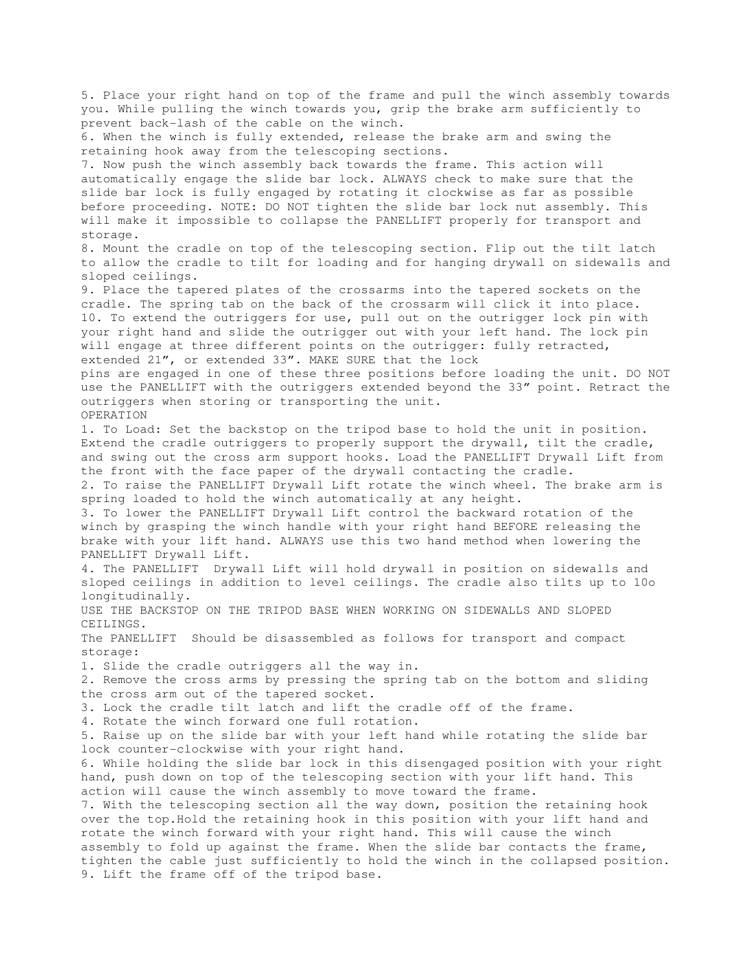5. Place your right hand on top of the frame and pull the winch assembly towards you. While pulling the winch towards you, grip the brake arm sufficiently to prevent back-lash of the cable on the winch. 6. When the winch is fully extended, release the brake arm and swing the retaining hook away from the telescoping sections. 7. Now push the winch assembly back towards the frame. This action will automatically engage the slide bar lock. ALWAYS check to make sure that the slide bar lock is fully engaged by rotating it clockwise as far as possible before proceeding. NOTE: DO NOT tighten the slide bar lock nut assembly. This will make it impossible to collapse the PANELLIFT properly for transport and storage. 8. Mount the cradle on top of the telescoping section. Flip out the tilt latch to allow the cradle to tilt for loading and for hanging drywall on sidewalls and sloped ceilings. 9. Place the tapered plates of the crossarms into the tapered sockets on the cradle. The spring tab on the back of the crossarm will click it into place. 10. To extend the outriggers for use, pull out on the outrigger lock pin with your right hand and slide the outrigger out with your left hand. The lock pin will engage at three different points on the outrigger: fully retracted, extended 21", or extended 33". MAKE SURE that the lock pins are engaged in one of these three positions before loading the unit. DO NOT use the PANELLIFT with the outriggers extended beyond the 33" point. Retract the outriggers when storing or transporting the unit. OPERATION 1. To Load: Set the backstop on the tripod base to hold the unit in position. Extend the cradle outriggers to properly support the drywall, tilt the cradle, and swing out the cross arm support hooks. Load the PANELLIFT Drywall Lift from the front with the face paper of the drywall contacting the cradle. 2. To raise the PANELLIFT Drywall Lift rotate the winch wheel. The brake arm is spring loaded to hold the winch automatically at any height. 3. To lower the PANELLIFT Drywall Lift control the backward rotation of the winch by grasping the winch handle with your right hand BEFORE releasing the brake with your lift hand. ALWAYS use this two hand method when lowering the PANELLIFT Drywall Lift. 4. The PANELLIFT Drywall Lift will hold drywall in position on sidewalls and sloped ceilings in addition to level ceilings. The cradle also tilts up to 10o longitudinally. USE THE BACKSTOP ON THE TRIPOD BASE WHEN WORKING ON SIDEWALLS AND SLOPED CEILINGS. The PANELLIFT Should be disassembled as follows for transport and compact storage: 1. Slide the cradle outriggers all the way in. 2. Remove the cross arms by pressing the spring tab on the bottom and sliding the cross arm out of the tapered socket. 3. Lock the cradle tilt latch and lift the cradle off of the frame. 4. Rotate the winch forward one full rotation. 5. Raise up on the slide bar with your left hand while rotating the slide bar lock counter-clockwise with your right hand. 6. While holding the slide bar lock in this disengaged position with your right hand, push down on top of the telescoping section with your lift hand. This action will cause the winch assembly to move toward the frame. 7. With the telescoping section all the way down, position the retaining hook over the top.Hold the retaining hook in this position with your lift hand and rotate the winch forward with your right hand. This will cause the winch assembly to fold up against the frame. When the slide bar contacts the frame, tighten the cable just sufficiently to hold the winch in the collapsed position. 9. Lift the frame off of the tripod base.